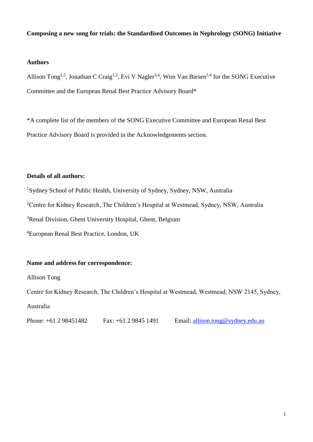## **Composing a new song for trials: the Standardised Outcomes in Nephrology (SONG) Initiative**

## **Authors**

Allison Tong<sup>1,2</sup>, Jonathan C Craig<sup>1,2</sup>, Evi V Nagler<sup>3,4</sup>, Wim Van Biesen<sup>3,4</sup> for the SONG Executive Committee and the European Renal Best Practice Advisory Board\*

\*A complete list of the members of the SONG Executive Committee and European Renal Best Practice Advisory Board is provided in the Acknowledgements section.

#### **Details of all authors:**

<sup>1</sup>Sydney School of Public Health, University of Sydney, Sydney, NSW, Australia

<sup>2</sup>Centre for Kidney Research, The Children's Hospital at Westmead, Sydney, NSW, Australia

<sup>3</sup>Renal Division, Ghent University Hospital, Ghent, Belgium

<sup>4</sup>European Renal Best Practice, London, UK

#### **Name and address for correspondence:**

Allison Tong

Centre for Kidney Research, The Children's Hospital at Westmead, Westmead, NSW 2145, Sydney, Australia

Phone: +61 2 98451482 Fax: +61 2 9845 1491 Email: [allison.tong@sydney.edu.au](mailto:allison.tong@sydney.edu.au)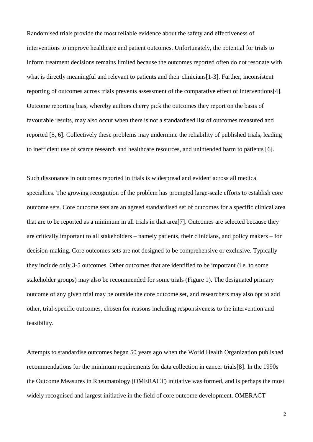Randomised trials provide the most reliable evidence about the safety and effectiveness of interventions to improve healthcare and patient outcomes. Unfortunately, the potential for trials to inform treatment decisions remains limited because the outcomes reported often do not resonate with what is directly meaningful and relevant to patients and their clinicians [\[1-3\]](#page-7-0). Further, inconsistent reporting of outcomes across trials prevents assessment of the comparative effect of interventions[\[4\]](#page-7-1). Outcome reporting bias, whereby authors cherry pick the outcomes they report on the basis of favourable results, may also occur when there is not a standardised list of outcomes measured and reported [\[5,](#page-7-2) [6\]](#page-7-3). Collectively these problems may undermine the reliability of published trials, leading to inefficient use of scarce research and healthcare resources, and unintended harm to patients [\[6\]](#page-7-3).

Such dissonance in outcomes reported in trials is widespread and evident across all medical specialties. The growing recognition of the problem has prompted large-scale efforts to establish core outcome sets. Core outcome sets are an agreed standardised set of outcomes for a specific clinical area that are to be reported as a minimum in all trials in that area[\[7\]](#page-7-4). Outcomes are selected because they are critically important to all stakeholders – namely patients, their clinicians, and policy makers – for decision-making. Core outcomes sets are not designed to be comprehensive or exclusive. Typically they include only 3-5 outcomes. Other outcomes that are identified to be important (i.e. to some stakeholder groups) may also be recommended for some trials (Figure 1). The designated primary outcome of any given trial may be outside the core outcome set, and researchers may also opt to add other, trial-specific outcomes, chosen for reasons including responsiveness to the intervention and feasibility.

Attempts to standardise outcomes began 50 years ago when the World Health Organization published recommendations for the minimum requirements for data collection in cancer trials[\[8\]](#page-7-5). In the 1990s the Outcome Measures in Rheumatology (OMERACT) initiative was formed, and is perhaps the most widely recognised and largest initiative in the field of core outcome development. OMERACT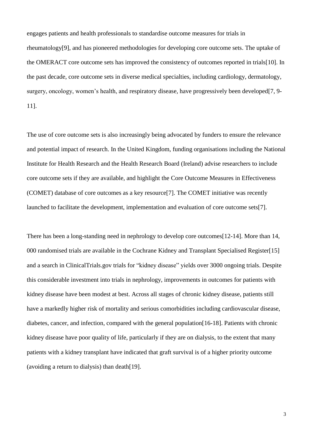engages patients and health professionals to standardise outcome measures for trials in rheumatology[\[9\]](#page-7-6), and has pioneered methodologies for developing core outcome sets. The uptake of the OMERACT core outcome sets has improved the consistency of outcomes reported in trials[\[10\]](#page-7-7). In the past decade, core outcome sets in diverse medical specialties, including cardiology, dermatology, surgery, oncology, women's health, and respiratory disease, have progressively been developed[\[7,](#page-7-4) [9-](#page-7-6) [11\]](#page-7-6).

The use of core outcome sets is also increasingly being advocated by funders to ensure the relevance and potential impact of research. In the United Kingdom, funding organisations including the National Institute for Health Research and the Health Research Board (Ireland) advise researchers to include core outcome sets if they are available, and highlight the Core Outcome Measures in Effectiveness (COMET) database of core outcomes as a key resource[\[7\]](#page-7-4). The COMET initiative was recently launched to facilitate the development, implementation and evaluation of core outcome sets[\[7\]](#page-7-4).

There has been a long-standing need in nephrology to develop core outcomes[\[12-14\]](#page-7-8). More than 14, 000 randomised trials are available in the Cochrane Kidney and Transplant Specialised Register[\[15\]](#page-8-0) and a search in ClinicalTrials.gov trials for "kidney disease" yields over 3000 ongoing trials. Despite this considerable investment into trials in nephrology, improvements in outcomes for patients with kidney disease have been modest at best. Across all stages of chronic kidney disease, patients still have a markedly higher risk of mortality and serious comorbidities including cardiovascular disease, diabetes, cancer, and infection, compared with the general population[\[16-18\]](#page-8-1). Patients with chronic kidney disease have poor quality of life, particularly if they are on dialysis, to the extent that many patients with a kidney transplant have indicated that graft survival is of a higher priority outcome (avoiding a return to dialysis) than death[\[19\]](#page-8-2).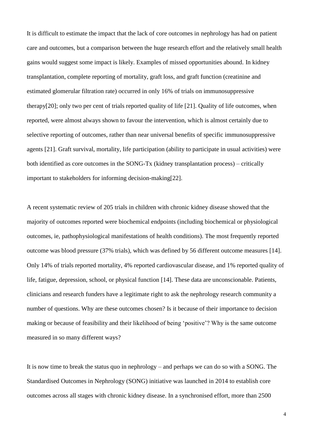It is difficult to estimate the impact that the lack of core outcomes in nephrology has had on patient care and outcomes, but a comparison between the huge research effort and the relatively small health gains would suggest some impact is likely. Examples of missed opportunities abound. In kidney transplantation, complete reporting of mortality, graft loss, and graft function (creatinine and estimated glomerular filtration rate) occurred in only 16% of trials on immunosuppressive therapy[\[20\]](#page-8-3); only two per cent of trials reported quality of life [\[21\]](#page-8-4). Quality of life outcomes, when reported, were almost always shown to favour the intervention, which is almost certainly due to selective reporting of outcomes, rather than near universal benefits of specific immunosuppressive agents [\[21\]](#page-8-4). Graft survival, mortality, life participation (ability to participate in usual activities) were both identified as core outcomes in the SONG-Tx (kidney transplantation process) – critically important to stakeholders for informing decision-making[\[22\]](#page-8-5).

A recent systematic review of 205 trials in children with chronic kidney disease showed that the majority of outcomes reported were biochemical endpoints (including biochemical or physiological outcomes, ie, pathophysiological manifestations of health conditions). The most frequently reported outcome was blood pressure (37% trials), which was defined by 56 different outcome measures [\[14\]](#page-8-6). Only 14% of trials reported mortality, 4% reported cardiovascular disease, and 1% reported quality of life, fatigue, depression, school, or physical function [\[14\]](#page-8-6). These data are unconscionable. Patients, clinicians and research funders have a legitimate right to ask the nephrology research community a number of questions. Why are these outcomes chosen? Is it because of their importance to decision making or because of feasibility and their likelihood of being 'positive'? Why is the same outcome measured in so many different ways?

It is now time to break the status quo in nephrology – and perhaps we can do so with a SONG. The Standardised Outcomes in Nephrology (SONG) initiative was launched in 2014 to establish core outcomes across all stages with chronic kidney disease. In a synchronised effort, more than 2500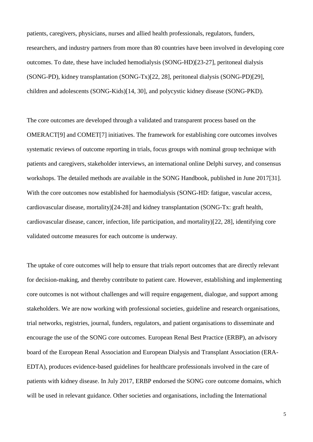patients, caregivers, physicians, nurses and allied health professionals, regulators, funders, researchers, and industry partners from more than 80 countries have been involved in developing core outcomes. To date, these have included hemodialysis (SONG-HD)[\[23-27\]](#page-9-0), peritoneal dialysis (SONG-PD), kidney transplantation (SONG-Tx)[\[22,](#page-8-5) [28\]](#page-9-1), peritoneal dialysis (SONG-PD)[\[29\]](#page-10-0), children and adolescents (SONG-Kids)[\[14,](#page-8-6) [30\]](#page-10-1), and polycystic kidney disease (SONG-PKD).

The core outcomes are developed through a validated and transparent process based on the OMERACT[\[9\]](#page-7-6) and COMET[\[7\]](#page-7-4) initiatives. The framework for establishing core outcomes involves systematic reviews of outcome reporting in trials, focus groups with nominal group technique with patients and caregivers, stakeholder interviews, an international online Delphi survey, and consensus workshops. The detailed methods are available in the SONG Handbook, published in June 2017[\[31\]](#page-10-2). With the core outcomes now established for haemodialysis (SONG-HD: fatigue, vascular access, cardiovascular disease, mortality)[\[24-28\]](#page-9-2) and kidney transplantation (SONG-Tx: graft health, cardiovascular disease, cancer, infection, life participation, and mortality)[\[22,](#page-8-5) [28\]](#page-9-1), identifying core validated outcome measures for each outcome is underway.

The uptake of core outcomes will help to ensure that trials report outcomes that are directly relevant for decision-making, and thereby contribute to patient care. However, establishing and implementing core outcomes is not without challenges and will require engagement, dialogue, and support among stakeholders. We are now working with professional societies, guideline and research organisations, trial networks, registries, journal, funders, regulators, and patient organisations to disseminate and encourage the use of the SONG core outcomes. European Renal Best Practice (ERBP), an advisory board of the European Renal Association and European Dialysis and Transplant Association (ERA-EDTA), produces evidence-based guidelines for healthcare professionals involved in the care of patients with kidney disease. In July 2017, ERBP endorsed the SONG core outcome domains, which will be used in relevant guidance. Other societies and organisations, including the International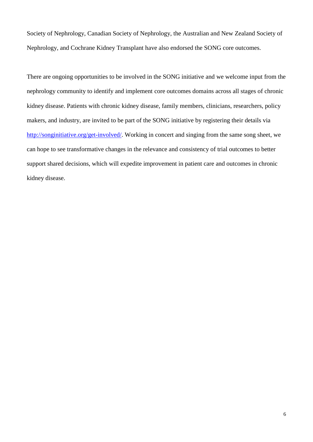Society of Nephrology, Canadian Society of Nephrology, the Australian and New Zealand Society of Nephrology, and Cochrane Kidney Transplant have also endorsed the SONG core outcomes.

There are ongoing opportunities to be involved in the SONG initiative and we welcome input from the nephrology community to identify and implement core outcomes domains across all stages of chronic kidney disease. Patients with chronic kidney disease, family members, clinicians, researchers, policy makers, and industry, are invited to be part of the SONG initiative by registering their details via [http://songinitiative.org/get-involved/.](http://songinitiative.org/get-involved/) Working in concert and singing from the same song sheet, we can hope to see transformative changes in the relevance and consistency of trial outcomes to better support shared decisions, which will expedite improvement in patient care and outcomes in chronic kidney disease.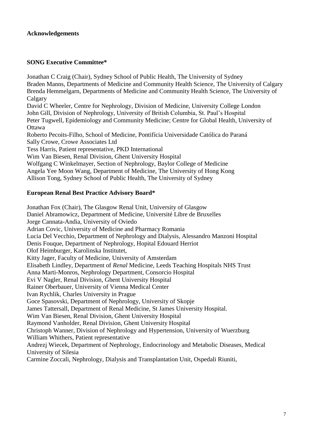## **Acknowledgements**

#### **SONG Executive Committee\***

Jonathan C Craig (Chair), Sydney School of Public Health, The University of Sydney Braden Manns, Departments of Medicine and Community Health Science, The University of Calgary Brenda Hemmelgarn, Departments of Medicine and Community Health Science, The University of Calgary David C Wheeler, Centre for Nephrology, Division of Medicine, University College London John Gill, Division of Nephrology, University of British Columbia, St. Paul's Hospital Peter Tugwell, Epidemiology and Community Medicine; Centre for Global Health, University of **Ottawa** Roberto Pecoits-Filho, School of Medicine, Pontifícia Universidade Católica do Paraná Sally Crowe, Crowe Associates Ltd Tess Harris, Patient representative, PKD International Wim Van Biesen, Renal Division, Ghent University Hospital Wolfgang C Winkelmayer, Section of Nephrology, Baylor College of Medicine Angela Yee Moon Wang, Department of Medicine, The University of Hong Kong Allison Tong, Sydney School of Public Health, The University of Sydney

## **European Renal Best Practice Advisory Board\***

Jonathan Fox (Chair), The Glasgow Renal Unit, University of Glasgow Daniel Abramowicz, Department of Medicine, Université Libre de Bruxelles Jorge Cannata-Andia, University of Oviedo Adrian Covic, University of Medicine and Pharmacy Romania Lucia Del Vecchio, Department of Nephrology and Dialysis, Alessandro Manzoni Hospital Denis Fouque, Department of Nephrology, Hopital Edouard Herriot Olof Heimburger, Karolinska Institutet, Kitty Jager, Faculty of Medicine, University of Amsterdam Elisabeth Lindley, Department of *Renal* Medicine, Leeds Teaching Hospitals NHS Trust Anna Marti-Monros, Nephrology Department, Consorcio Hospital Evi V Nagler, Renal Division, Ghent University Hospital Rainer Oberbauer, University of Vienna Medical Center Ivan Rychlik, Charles University in Prague Goce Spasovski, Department of Nephrology, University of Skopje James Tattersall, Department of Renal Medicine, St James University Hospital. Wim Van Biesen, Renal Division, Ghent University Hospital Raymond Vanholder, Renal Division, Ghent University Hospital Christoph Wanner, Division of Nephrology and Hypertension, University of Wuerzburg William Whithers, Patient representative Andrezj Wiecek, Department of Nephrology, Endocrinology and Metabolic Diseases, Medical University of Silesia Carmine Zoccali, Nephrology, Dialysis and Transplantation Unit, Ospedali Riuniti,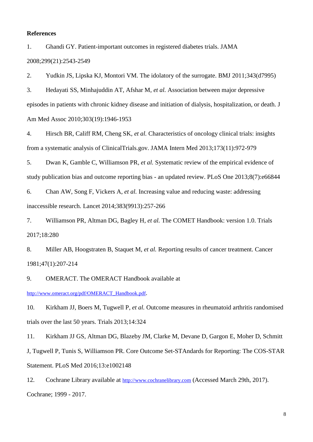#### **References**

<span id="page-7-0"></span>1. Ghandi GY. Patient-important outcomes in registered diabetes trials. JAMA 2008;299(21):2543-2549

2. Yudkin JS, Lipska KJ, Montori VM. The idolatory of the surrogate. BMJ 2011;343(d7995)

3. Hedayati SS, Minhajuddin AT, Afshar M*, et al.* Association between major depressive episodes in patients with chronic kidney disease and initiation of dialysis, hospitalization, or death. J Am Med Assoc 2010;303(19):1946-1953

<span id="page-7-1"></span>4. Hirsch BR, Califf RM, Cheng SK*, et al.* Characteristics of oncology clinical trials: insights from a systematic analysis of ClinicalTrials.gov. JAMA Intern Med 2013;173(11):972-979

<span id="page-7-2"></span>5. Dwan K, Gamble C, Williamson PR*, et al.* Systematic review of the empirical evidence of study publication bias and outcome reporting bias - an updated review. PLoS One 2013;8(7):e66844

<span id="page-7-3"></span>6. Chan AW, Song F, Vickers A*, et al.* Increasing value and reducing waste: addressing inaccessible research. Lancet 2014;383(9913):257-266

<span id="page-7-4"></span>7. Williamson PR, Altman DG, Bagley H*, et al.* The COMET Handbook: version 1.0. Trials 2017;18:280

<span id="page-7-5"></span>8. Miller AB, Hoogstraten B, Staquet M*, et al.* Reporting results of cancer treatment. Cancer 1981;47(1):207-214

<span id="page-7-6"></span>9. OMERACT. The OMERACT Handbook available at

[http://www.omeract.org/pdf/OMERACT\\_Handbook.pdf](http://www.omeract.org/pdf/OMERACT_Handbook.pdf).

<span id="page-7-7"></span>10. Kirkham JJ, Boers M, Tugwell P*, et al.* Outcome measures in rheumatoid arthritis randomised trials over the last 50 years. Trials 2013;14:324

11. Kirkham JJ GS, Altman DG, Blazeby JM, Clarke M, Devane D, Gargon E, Moher D, Schmitt J, Tugwell P, Tunis S, Williamson PR. Core Outcome Set-STAndards for Reporting: The COS-STAR Statement. PLoS Med 2016;13:e1002148

<span id="page-7-8"></span>12. Cochrane Library available at [http://www.cochranelibrary.com](http://www.cochranelibrary.com/) (Accessed March 29th, 2017). Cochrane; 1999 - 2017.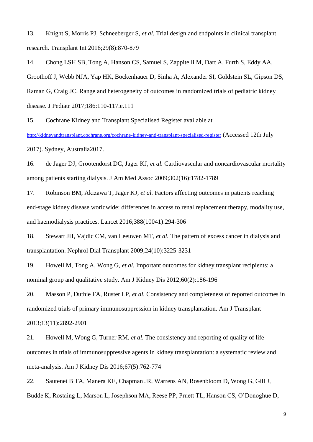13. Knight S, Morris PJ, Schneeberger S*, et al.* Trial design and endpoints in clinical transplant research. Transplant Int 2016;29(8):870-879

<span id="page-8-6"></span>14. Chong LSH SB, Tong A, Hanson CS, Samuel S, Zappitelli M, Dart A, Furth S, Eddy AA, Groothoff J, Webb NJA, Yap HK, Bockenhauer D, Sinha A, Alexander SI, Goldstein SL, Gipson DS, Raman G, Craig JC. Range and heterogeneity of outcomes in randomized trials of pediatric kidney disease. J Pediatr 2017;186:110-117.e.111

<span id="page-8-0"></span>15. Cochrane Kidney and Transplant Specialised Register available at

<http://kidneyandtransplant.cochrane.org/cochrane-kidney-and-transplant-specialised-register> (Accessed 12th July 2017). Sydney, Australia2017.

<span id="page-8-1"></span>16. de Jager DJ, Grootendorst DC, Jager KJ*, et al.* Cardiovascular and noncardiovascular mortality among patients starting dialysis. J Am Med Assoc 2009;302(16):1782-1789

17. Robinson BM, Akizawa T, Jager KJ*, et al.* Factors affecting outcomes in patients reaching end-stage kidney disease worldwide: differences in access to renal replacement therapy, modality use, and haemodialysis practices. Lancet 2016;388(10041):294-306

18. Stewart JH, Vajdic CM, van Leeuwen MT*, et al.* The pattern of excess cancer in dialysis and transplantation. Nephrol Dial Transplant 2009;24(10):3225-3231

<span id="page-8-2"></span>19. Howell M, Tong A, Wong G*, et al.* Important outcomes for kidney transplant recipients: a nominal group and qualitative study. Am J Kidney Dis 2012;60(2):186-196

<span id="page-8-3"></span>20. Masson P, Duthie FA, Ruster LP*, et al.* Consistency and completeness of reported outcomes in randomized trials of primary immunosuppression in kidney transplantation. Am J Transplant 2013;13(11):2892-2901

<span id="page-8-4"></span>21. Howell M, Wong G, Turner RM*, et al.* The consistency and reporting of quality of life outcomes in trials of immunosuppressive agents in kidney transplantation: a systematic review and meta-analysis. Am J Kidney Dis 2016;67(5):762-774

<span id="page-8-5"></span>22. Sautenet B TA, Manera KE, Chapman JR, Warrens AN, Rosenbloom D, Wong G, Gill J, Budde K, Rostaing L, Marson L, Josephson MA, Reese PP, Pruett TL, Hanson CS, O'Donoghue D,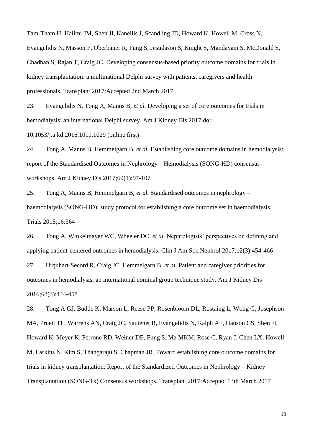Tam-Tham H, Halimi JM, Shen JI, Kanellis J, Scandling JD, Howard K, Howell M, Cross N, Evangelidis N, Masson P, Oberbauer R, Fung S, Jesudason S, Knight S, Mandayam S, McDonald S, Chadban S, Rajan T, Craig JC. Developing consensus-based priority outcome domains for trials in kidney transplantation: a multinational Delphi survey with patients, caregivers and health professionals. Transplant 2017:Accepted 2nd March 2017

<span id="page-9-0"></span>23. Evangelidis N, Tong A, Manns B*, et al.* Developing a set of core outcomes for trials in hemodialysis: an international Delphi survey. Am J Kidney Dis 2017:doi:

10.1053/j.ajkd.2016.1011.1029 (online first)

<span id="page-9-2"></span>24. Tong A, Manns B, Hemmelgarn B*, et al.* Establishing core outcome domains in hemodialysis: report of the Standardised Outcomes in Nephrology – Hemodialysis (SONG-HD) consensus workshops. Am J Kidney Dis 2017;69(1):97-107

25. Tong A, Manns B, Hemmelgarn B*, et al.* Standardised outcomes in nephrology – haemodialysis (SONG-HD): study protocol for establishing a core outcome set in haemodialysis. Trials 2015;16:364

26. Tong A, Winkelmayer WC, Wheeler DC*, et al.* Nephrologists' perspectives on defining and applying patient-centered outcomes in hemodialysis. Clin J Am Soc Nephrol 2017;12(3):454-466

27. Urquhart-Secord R, Craig JC, Hemmelgarn B*, et al.* Patient and caregiver priorities for outcomes in hemodialysis: an international nominal group technique study. Am J Kidney Dis 2016;68(3):444-458

<span id="page-9-1"></span>28. Tong A GJ, Budde K, Marson L, Reese PP, Rosenbloom DL, Rostaing L, Wong G, Josephson MA, Pruett TL, Warrens AN, Craig JC, Sautenet B, Evangelidis N, Ralph AF, Hanson CS, Shen JI, Howard K, Meyer K, Perrone RD, Weiner DE, Fung S, Ma MKM, Rose C, Ryan J, Chen LX, Howell M, Larkins N, Kim S, Thangaraju S, Chapman JR. Toward establishing core outcome domains for trials in kidney transplantation: Report of the Standardized Outcomes in Nephrology – Kidney Transplantation (SONG-Tx) Consensus workshops. Transplant 2017:Accepted 13th March 2017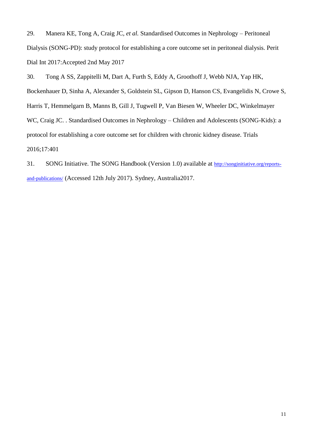<span id="page-10-0"></span>29. Manera KE, Tong A, Craig JC*, et al.* Standardised Outcomes in Nephrology – Peritoneal Dialysis (SONG-PD): study protocol for establishing a core outcome set in peritoneal dialysis. Perit Dial Int 2017:Accepted 2nd May 2017

<span id="page-10-1"></span>30. Tong A SS, Zappitelli M, Dart A, Furth S, Eddy A, Groothoff J, Webb NJA, Yap HK, Bockenhauer D, Sinha A, Alexander S, Goldstein SL, Gipson D, Hanson CS, Evangelidis N, Crowe S, Harris T, Hemmelgarn B, Manns B, Gill J, Tugwell P, Van Biesen W, Wheeler DC, Winkelmayer WC, Craig JC. . Standardised Outcomes in Nephrology – Children and Adolescents (SONG-Kids): a protocol for establishing a core outcome set for children with chronic kidney disease. Trials 2016;17:401

<span id="page-10-2"></span>31. SONG Initiative. The SONG Handbook (Version 1.0) available at [http://songinitiative.org/reports](http://songinitiative.org/reports-and-publications/)[and-publications/](http://songinitiative.org/reports-and-publications/) (Accessed 12th July 2017). Sydney, Australia2017.